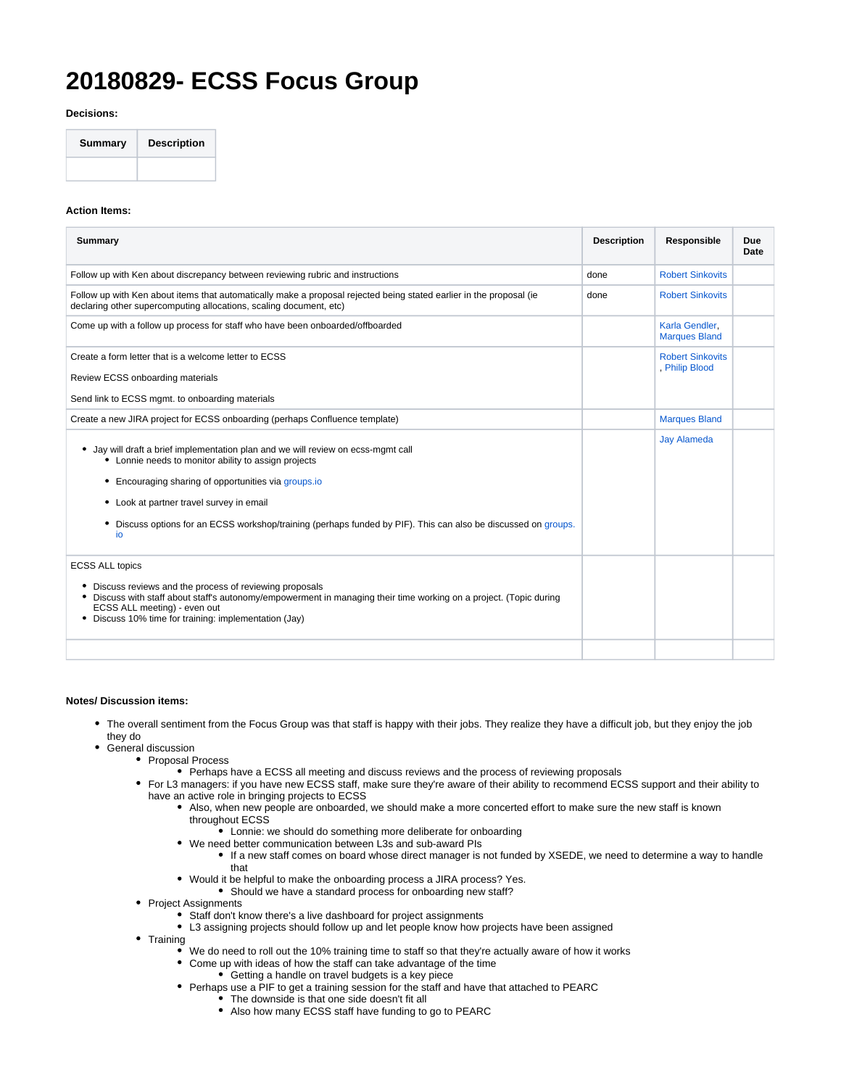## **20180829- ECSS Focus Group**

**Decisions:**



## **Action Items:**

| Summary                                                                                                                                                                                                                                                                                                                                                                     | <b>Description</b> | Responsible                               | Due<br>Date |
|-----------------------------------------------------------------------------------------------------------------------------------------------------------------------------------------------------------------------------------------------------------------------------------------------------------------------------------------------------------------------------|--------------------|-------------------------------------------|-------------|
| Follow up with Ken about discrepancy between reviewing rubric and instructions                                                                                                                                                                                                                                                                                              | done               | <b>Robert Sinkovits</b>                   |             |
| Follow up with Ken about items that automatically make a proposal rejected being stated earlier in the proposal (ie<br>declaring other supercomputing allocations, scaling document, etc)                                                                                                                                                                                   | done               | <b>Robert Sinkovits</b>                   |             |
| Come up with a follow up process for staff who have been onboarded/offboarded                                                                                                                                                                                                                                                                                               |                    | Karla Gendler,<br><b>Marques Bland</b>    |             |
| Create a form letter that is a welcome letter to ECSS                                                                                                                                                                                                                                                                                                                       |                    | <b>Robert Sinkovits</b><br>, Philip Blood |             |
| Review ECSS onboarding materials                                                                                                                                                                                                                                                                                                                                            |                    |                                           |             |
| Send link to ECSS mgmt. to onboarding materials                                                                                                                                                                                                                                                                                                                             |                    |                                           |             |
| Create a new JIRA project for ECSS onboarding (perhaps Confluence template)                                                                                                                                                                                                                                                                                                 |                    | <b>Marques Bland</b>                      |             |
| Jay will draft a brief implementation plan and we will review on ecss-mgmt call<br>٠<br>• Lonnie needs to monitor ability to assign projects<br>• Encouraging sharing of opportunities via groups.io<br>• Look at partner travel survey in email<br>Discuss options for an ECSS workshop/training (perhaps funded by PIF). This can also be discussed on groups.<br>٠<br>io |                    | <b>Jay Alameda</b>                        |             |
| <b>ECSS ALL topics</b><br>Discuss reviews and the process of reviewing proposals<br>Discuss with staff about staff's autonomy/empowerment in managing their time working on a project. (Topic during<br>٠<br>ECSS ALL meeting) - even out<br>Discuss 10% time for training: implementation (Jay)                                                                            |                    |                                           |             |
|                                                                                                                                                                                                                                                                                                                                                                             |                    |                                           |             |

## **Notes/ Discussion items:**

- The overall sentiment from the Focus Group was that staff is happy with their jobs. They realize they have a difficult job, but they enjoy the job they do
- General discussion
	- Proposal Process
		- Perhaps have a ECSS all meeting and discuss reviews and the process of reviewing proposals
		- For L3 managers: if you have new ECSS staff, make sure they're aware of their ability to recommend ECSS support and their ability to have an active role in bringing projects to ECSS
			- Also, when new people are onboarded, we should make a more concerted effort to make sure the new staff is known throughout ECSS
				- $\bullet$  Lonnie: we should do something more deliberate for onboarding
			- We need better communication between L3s and sub-award PIs If a new staff comes on board whose direct manager is not funded by XSEDE, we need to determine a way to handle that
			- Would it be helpful to make the onboarding process a JIRA process? Yes.
				- Should we have a standard process for onboarding new staff?
		- Project Assignments
			- Staff don't know there's a live dashboard for project assignments
			- L3 assigning projects should follow up and let people know how projects have been assigned
		- Training
			- We do need to roll out the 10% training time to staff so that they're actually aware of how it works
			- $\bullet$ Come up with ideas of how the staff can take advantage of the time
				- Getting a handle on travel budgets is a key piece
				- Perhaps use a PIF to get a training session for the staff and have that attached to PEARC
					- The downside is that one side doesn't fit all
					- Also how many ECSS staff have funding to go to PEARC